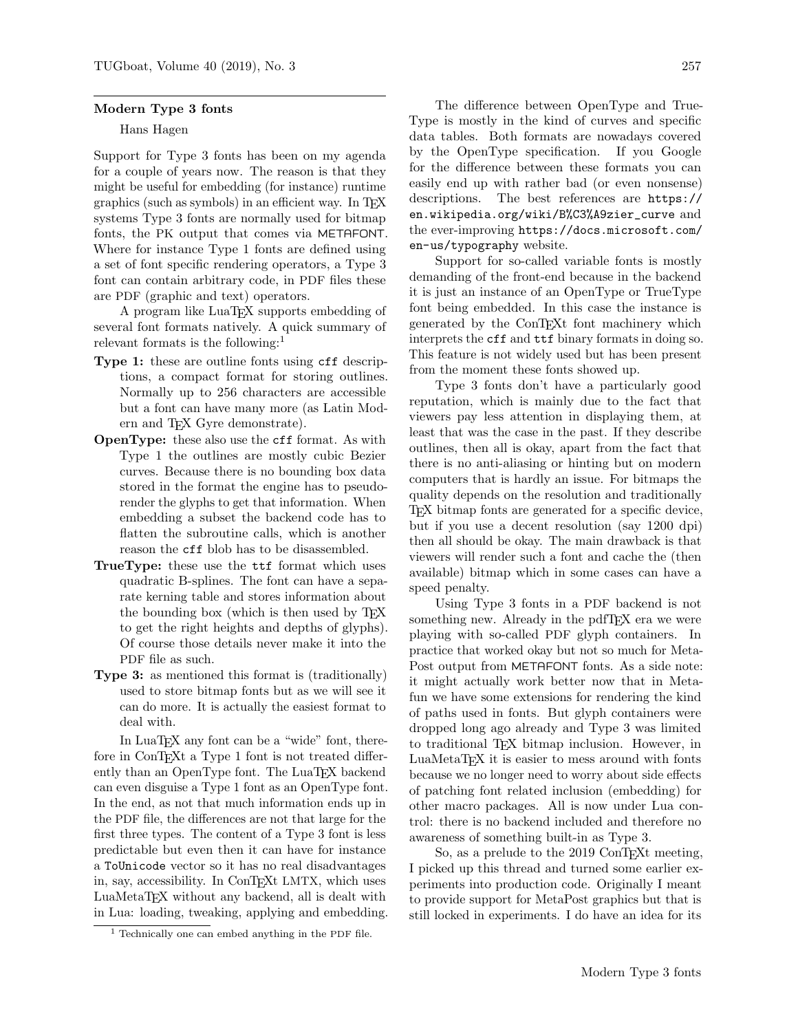## Modern Type 3 fonts

## Hans Hagen

Support for Type 3 fonts has been on my agenda for a couple of years now. The reason is that they might be useful for embedding (for instance) runtime graphics (such as symbols) in an efficient way. In TEX systems Type 3 fonts are normally used for bitmap fonts, the PK output that comes via METAFONT. Where for instance Type 1 fonts are defined using a set of font specific rendering operators, a Type 3 font can contain arbitrary code, in PDF files these are PDF (graphic and text) operators.

A program like LuaTEX supports embedding of several font formats natively. A quick summary of relevant formats is the following:<sup>[1](#page-0-0)</sup>

- Type 1: these are outline fonts using  $cf$  descriptions, a compact format for storing outlines. Normally up to 256 characters are accessible but a font can have many more (as Latin Modern and TEX Gyre demonstrate).
- OpenType: these also use the cff format. As with Type 1 the outlines are mostly cubic Bezier curves. Because there is no bounding box data stored in the format the engine has to pseudorender the glyphs to get that information. When embedding a subset the backend code has to flatten the subroutine calls, which is another reason the cff blob has to be disassembled.
- TrueType: these use the ttf format which uses quadratic B-splines. The font can have a separate kerning table and stores information about the bounding box (which is then used by T<sub>EX</sub> to get the right heights and depths of glyphs). Of course those details never make it into the PDF file as such.
- Type 3: as mentioned this format is (traditionally) used to store bitmap fonts but as we will see it can do more. It is actually the easiest format to deal with.

In LuaT<sub>EX</sub> any font can be a "wide" font, therefore in ConT<sub>E</sub>X<sub>t</sub> a Type 1 font is not treated differently than an OpenType font. The LuaT<sub>EX</sub> backend can even disguise a Type 1 font as an OpenType font. In the end, as not that much information ends up in the PDF file, the differences are not that large for the first three types. The content of a Type 3 font is less predictable but even then it can have for instance a ToUnicode vector so it has no real disadvantages in, say, accessibility. In ConTEXt LMTX, which uses LuaMetaTEX without any backend, all is dealt with in Lua: loading, tweaking, applying and embedding.

The difference between OpenType and True-Type is mostly in the kind of curves and specific data tables. Both formats are nowadays covered by the OpenType specification. If you Google for the difference between these formats you can easily end up with rather bad (or even nonsense) descriptions. The best references are [https://](https://en.wikipedia.org/wiki/B%C3%A9zier_curve) [en.wikipedia.org/wiki/B%C3%A9zier\\_curve](https://en.wikipedia.org/wiki/B%C3%A9zier_curve) and the ever-improving [https://docs.microsoft.com/](https://docs.microsoft.com/en-us/typography) [en-us/typography](https://docs.microsoft.com/en-us/typography) website.

Support for so-called variable fonts is mostly demanding of the front-end because in the backend it is just an instance of an OpenType or TrueType font being embedded. In this case the instance is generated by the ConTEXt font machinery which interprets the cff and ttf binary formats in doing so. This feature is not widely used but has been present from the moment these fonts showed up.

Type 3 fonts don't have a particularly good reputation, which is mainly due to the fact that viewers pay less attention in displaying them, at least that was the case in the past. If they describe outlines, then all is okay, apart from the fact that there is no anti-aliasing or hinting but on modern computers that is hardly an issue. For bitmaps the quality depends on the resolution and traditionally TEX bitmap fonts are generated for a specific device, but if you use a decent resolution (say 1200 dpi) then all should be okay. The main drawback is that viewers will render such a font and cache the (then available) bitmap which in some cases can have a speed penalty.

Using Type 3 fonts in a PDF backend is not something new. Already in the pdfT<sub>F</sub>X era we were playing with so-called PDF glyph containers. In practice that worked okay but not so much for Meta-Post output from METAFONT fonts. As a side note: it might actually work better now that in Metafun we have some extensions for rendering the kind of paths used in fonts. But glyph containers were dropped long ago already and Type 3 was limited to traditional TEX bitmap inclusion. However, in LuaMetaT<sub>EX</sub> it is easier to mess around with fonts because we no longer need to worry about side effects of patching font related inclusion (embedding) for other macro packages. All is now under Lua control: there is no backend included and therefore no awareness of something built-in as Type 3.

So, as a prelude to the 2019 ConTEXt meeting, I picked up this thread and turned some earlier experiments into production code. Originally I meant to provide support for MetaPost graphics but that is still locked in experiments. I do have an idea for its

<span id="page-0-0"></span> $<sup>1</sup>$  Technically one can embed anything in the PDF file.</sup>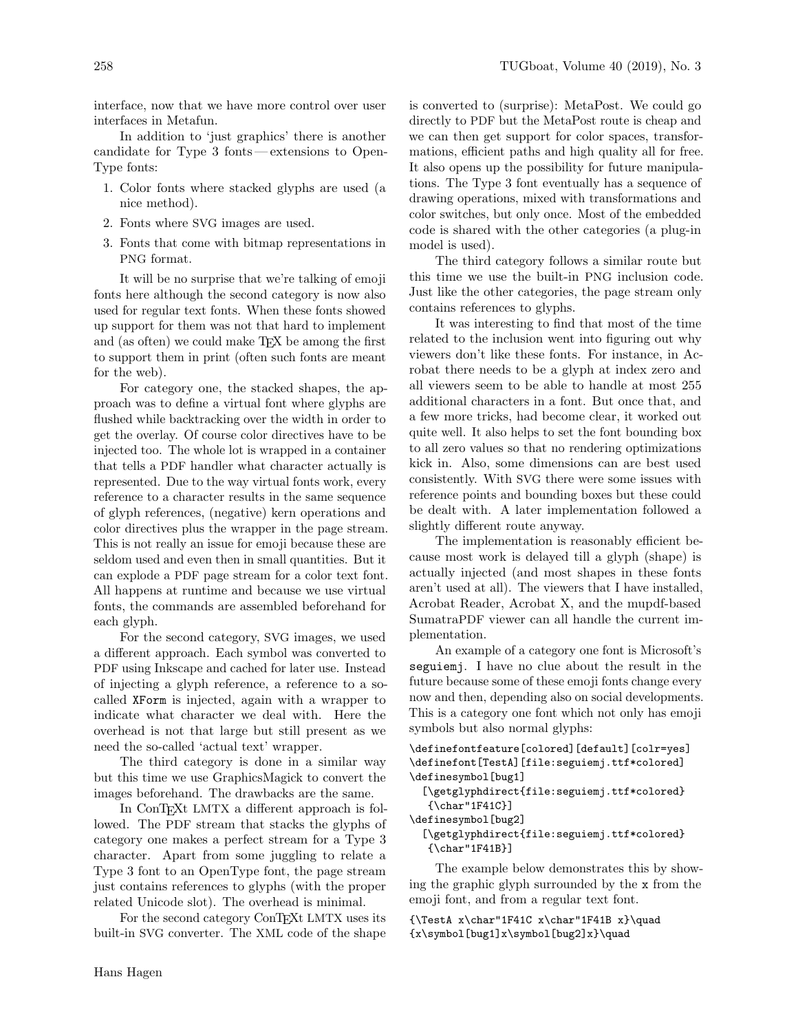interface, now that we have more control over user interfaces in Metafun.

In addition to 'just graphics' there is another candidate for Type 3 fonts— extensions to Open-Type fonts:

- 1. Color fonts where stacked glyphs are used (a nice method).
- 2. Fonts where SVG images are used.
- 3. Fonts that come with bitmap representations in PNG format.

It will be no surprise that we're talking of emoji fonts here although the second category is now also used for regular text fonts. When these fonts showed up support for them was not that hard to implement and (as often) we could make TEX be among the first to support them in print (often such fonts are meant for the web).

For category one, the stacked shapes, the approach was to define a virtual font where glyphs are flushed while backtracking over the width in order to get the overlay. Of course color directives have to be injected too. The whole lot is wrapped in a container that tells a PDF handler what character actually is represented. Due to the way virtual fonts work, every reference to a character results in the same sequence of glyph references, (negative) kern operations and color directives plus the wrapper in the page stream. This is not really an issue for emoji because these are seldom used and even then in small quantities. But it can explode a PDF page stream for a color text font. All happens at runtime and because we use virtual fonts, the commands are assembled beforehand for each glyph.

For the second category, SVG images, we used a different approach. Each symbol was converted to PDF using Inkscape and cached for later use. Instead of injecting a glyph reference, a reference to a socalled XForm is injected, again with a wrapper to indicate what character we deal with. Here the overhead is not that large but still present as we need the so-called 'actual text' wrapper.

The third category is done in a similar way but this time we use GraphicsMagick to convert the images beforehand. The drawbacks are the same.

In ConTEXt LMTX a different approach is followed. The PDF stream that stacks the glyphs of category one makes a perfect stream for a Type 3 character. Apart from some juggling to relate a Type 3 font to an OpenType font, the page stream just contains references to glyphs (with the proper related Unicode slot). The overhead is minimal.

For the second category ConT<sub>EXt</sub> LMTX uses its built-in SVG converter. The XML code of the shape

is converted to (surprise): MetaPost. We could go directly to PDF but the MetaPost route is cheap and we can then get support for color spaces, transformations, efficient paths and high quality all for free. It also opens up the possibility for future manipulations. The Type 3 font eventually has a sequence of drawing operations, mixed with transformations and color switches, but only once. Most of the embedded code is shared with the other categories (a plug-in model is used).

The third category follows a similar route but this time we use the built-in PNG inclusion code. Just like the other categories, the page stream only contains references to glyphs.

It was interesting to find that most of the time related to the inclusion went into figuring out why viewers don't like these fonts. For instance, in Acrobat there needs to be a glyph at index zero and all viewers seem to be able to handle at most 255 additional characters in a font. But once that, and a few more tricks, had become clear, it worked out quite well. It also helps to set the font bounding box to all zero values so that no rendering optimizations kick in. Also, some dimensions can are best used consistently. With SVG there were some issues with reference points and bounding boxes but these could be dealt with. A later implementation followed a slightly different route anyway.

The implementation is reasonably efficient because most work is delayed till a glyph (shape) is actually injected (and most shapes in these fonts aren't used at all). The viewers that I have installed, Acrobat Reader, Acrobat X, and the mupdf-based SumatraPDF viewer can all handle the current implementation.

An example of a category one font is Microsoft's seguiemj. I have no clue about the result in the future because some of these emoji fonts change every now and then, depending also on social developments. This is a category one font which not only has emoji symbols but also normal glyphs:

```
\definefontfeature[colored][default][colr=yes]
\definefont[TestA][file:seguiemj.ttf*colored]
\definesymbol[bug1]
  [\getglyphdirect{file:seguiemj.ttf*colored}
   {\char"1F41C}]
```

```
\definesymbol[bug2]
```
## [\getglyphdirect{file:seguiemj.ttf\*colored} {\char"1F41B}]

The example below demonstrates this by showing the graphic glyph surrounded by the x from the emoji font, and from a regular text font.

{\TestA x\char"1F41C x\char"1F41B x}\quad  $\{x\symbol{\text{bug1}}x\symbol{\text{bug2}}x\}\q$ quad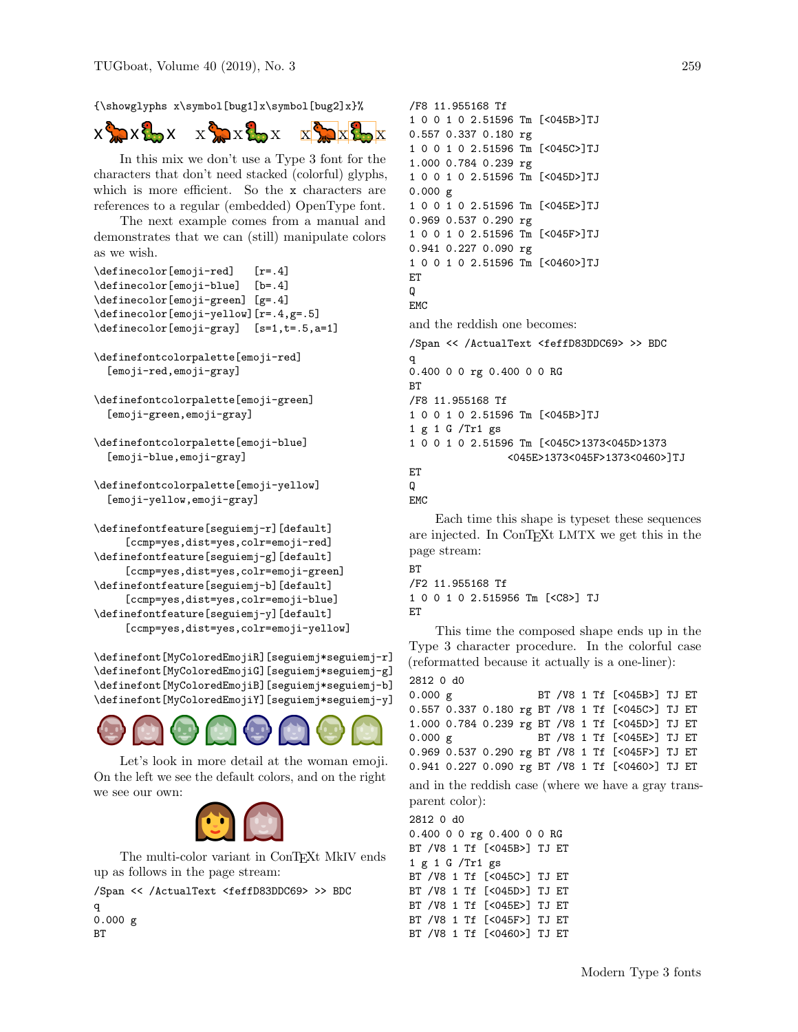{\showglyphs x\symbol[bug1]x\symbol[bug2]x}%



In this mix we don't use a Type 3 font for the characters that don't need stacked (colorful) glyphs, which is more efficient. So the x characters are references to a regular (embedded) OpenType font.

The next example comes from a manual and demonstrates that we can (still) manipulate colors as we wish.

```
\definecolor[emoji-red] [r=.4]
\definecolor[emoji-blue] [b=.4]
\definecolor[emoji-green] [g=.4]
\definecolor[emoji-yellow][r=.4,g=.5]
\definecolor[emoji-gray] [s=1,t=.5,a=1]
```
\definefontcolorpalette[emoji-red] [emoji-red,emoji-gray]

```
\definefontcolorpalette[emoji-green]
  [emoji-green,emoji-gray]
```

```
\definefontcolorpalette[emoji-blue]
  [emoji-blue,emoji-gray]
```

```
\definefontcolorpalette[emoji-yellow]
  [emoji-yellow,emoji-gray]
```

```
\definefontfeature[seguiemj-r][default]
     [ccmp=yes,dist=yes,colr=emoji-red]
\definefontfeature[seguiemj-g][default]
     [ccmp=yes,dist=yes,colr=emoji-green]
\definefontfeature[seguiemj-b][default]
     [ccmp=yes,dist=yes,colr=emoji-blue]
\definefontfeature[seguiemj-y][default]
     [ccmp=yes,dist=yes,colr=emoji-yellow]
```
\definefont[MyColoredEmojiR][seguiemj\*seguiemj-r] \definefont[MyColoredEmojiG][seguiemj\*seguiemj-g] \definefont[MyColoredEmojiB][seguiemj\*seguiemj-b] \definefont[MyColoredEmojiY][seguiemj\*seguiemj-y]



Let's look in more detail at the woman emoji. On the left we see the default colors, and on the right we see our own:



The multi-color variant in ConTEXt MkIV ends up as follows in the page stream:

/Span << /ActualText <feffD83DDC69> >> BDC

```
q
0.000 gBT
```
/F8 11.955168 Tf 1 0 0 1 0 2.51596 Tm [<045B>]TJ 0.557 0.337 0.180 rg 1 0 0 1 0 2.51596 Tm [<045C>]TJ 1.000 0.784 0.239 rg 1 0 0 1 0 2.51596 Tm [<045D>]TJ 0.000 g 1 0 0 1 0 2.51596 Tm [<045E>]TJ 0.969 0.537 0.290 rg 1 0 0 1 0 2.51596 Tm [<045F>]TJ 0.941 0.227 0.090 rg 1 0 0 1 0 2.51596 Tm [<0460>]TJ ET Q EMC and the reddish one becomes: /Span << /ActualText <feffD83DDC69> >> BDC q 0.400 0 0 rg 0.400 0 0 RG BT /F8 11.955168 Tf 1 0 0 1 0 2.51596 Tm [<045B>]TJ 1 g 1 G /Tr1 gs 1 0 0 1 0 2.51596 Tm [<045C>1373<045D>1373 <045E>1373<045F>1373<0460>]TJ ET Q

```
EMC
```
Each time this shape is typeset these sequences are injected. In ConTEXt LMTX we get this in the page stream:

```
BT
/F2 11.955168 Tf
1 0 0 1 0 2.515956 Tm [<C8>] TJ
ET
```
This time the composed shape ends up in the Type 3 character procedure. In the colorful case (reformatted because it actually is a one-liner):

```
2812 0 d0
0.000 g BT /V8 1 Tf [<045B>] TJ ET
0.557 0.337 0.180 rg BT /V8 1 Tf [<045C>] TJ ET
1.000 0.784 0.239 rg BT /V8 1 Tf [<045D>] TJ ET
0.000 g BT /V8 1 Tf [<045E>] TJ ET
0.969 0.537 0.290 rg BT /V8 1 Tf [<045F>] TJ ET
0.941 0.227 0.090 rg BT /V8 1 Tf [<0460>] TJ ET
and in the reddish case (where we have a gray trans-
parent color):
```
2812 0 d0 0.400 0 0 rg 0.400 0 0 RG BT /V8 1 Tf [<045B>] TJ ET 1 g 1 G /Tr1 gs BT /V8 1 Tf [<045C>] TJ ET BT /V8 1 Tf [<045D>] TJ ET BT /V8 1 Tf [<045E>] TJ ET BT /V8 1 Tf [<045F>] TJ ET BT /V8 1 Tf [<0460>] TJ ET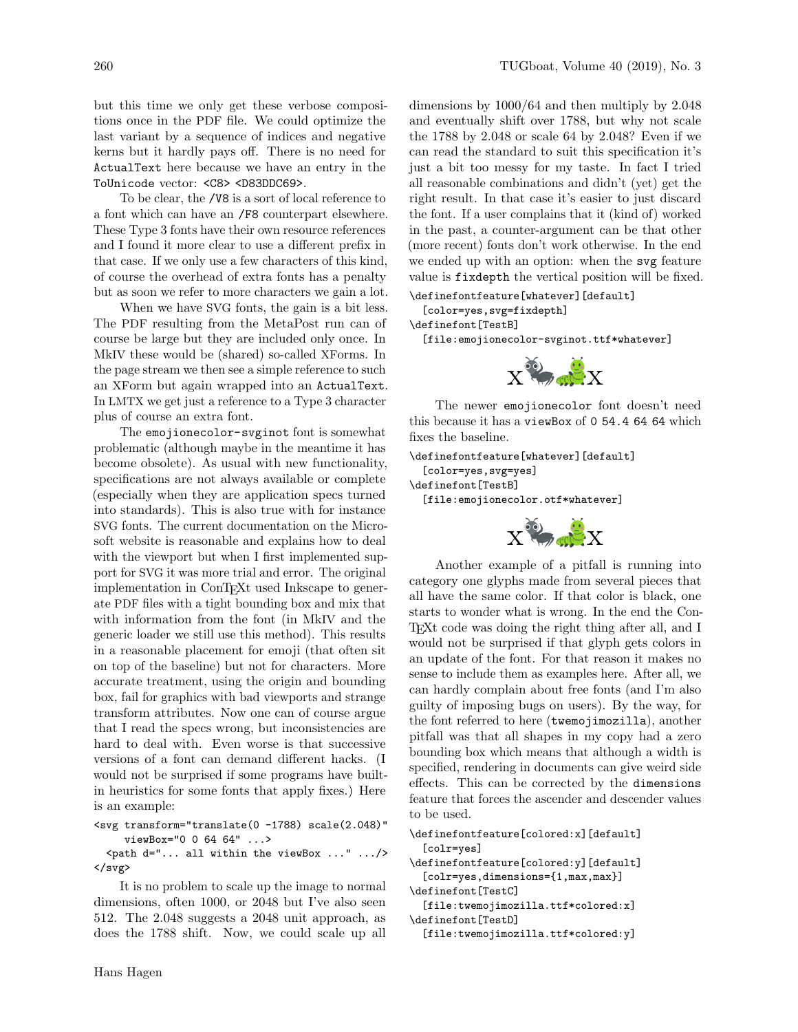but this time we only get these verbose compositions once in the PDF file. We could optimize the last variant by a sequence of indices and negative kerns but it hardly pays off. There is no need for ActualText here because we have an entry in the ToUnicode vector: <C8> <D83DDC69>.

To be clear, the /V8 is a sort of local reference to a font which can have an /F8 counterpart elsewhere. These Type 3 fonts have their own resource references and I found it more clear to use a different prefix in that case. If we only use a few characters of this kind, of course the overhead of extra fonts has a penalty but as soon we refer to more characters we gain a lot.

When we have SVG fonts, the gain is a bit less. The PDF resulting from the MetaPost run can of course be large but they are included only once. In MkIV these would be (shared) so-called XForms. In the page stream we then see a simple reference to such an XForm but again wrapped into an ActualText. In LMTX we get just a reference to a Type 3 character plus of course an extra font.

The <emojionecolor-svginot> font is somewhat problematic (although maybe in the meantime it has become obsolete). As usual with new functionality, specifications are not always available or complete (especially when they are application specs turned into standards). This is also true with for instance SVG fonts. The current documentation on the Microsoft website is reasonable and explains how to deal with the viewport but when I first implemented support for SVG it was more trial and error. The original implementation in ConTEXt used Inkscape to generate PDF files with a tight bounding box and mix that with information from the font (in MkIV and the generic loader we still use this method). This results in a reasonable placement for emoji (that often sit on top of the baseline) but not for characters. More accurate treatment, using the origin and bounding box, fail for graphics with bad viewports and strange transform attributes. Now one can of course argue that I read the specs wrong, but inconsistencies are hard to deal with. Even worse is that successive versions of a font can demand different hacks. (I would not be surprised if some programs have builtin heuristics for some fonts that apply fixes.) Here is an example:

```
<svg transform="translate(0 -1788) scale(2.048)"
     viewBox="0 0 64 64" ...>
```
<path d="... all within the viewBox ..." .../> </svg>

It is no problem to scale up the image to normal dimensions, often 1000, or 2048 but I've also seen 512. The 2.048 suggests a 2048 unit approach, as does the 1788 shift. Now, we could scale up all

dimensions by 1000/64 and then multiply by 2.048 and eventually shift over 1788, but why not scale the 1788 by 2.048 or scale 64 by 2.048? Even if we can read the standard to suit this specification it's just a bit too messy for my taste. In fact I tried all reasonable combinations and didn't (yet) get the right result. In that case it's easier to just discard the font. If a user complains that it (kind of) worked in the past, a counter-argument can be that other (more recent) fonts don't work otherwise. In the end we ended up with an option: when the svg feature value is fixdepth the vertical position will be fixed.

\definefontfeature[whatever][default] [color=yes,svg=fixdepth]

\definefont[TestB]

[file:emojionecolor-svginot.ttf\*whatever]



The newer emojionecolor font doesn't need this because it has a viewBox of 0 54.4 64 64 which fixes the baseline.

\definefontfeature[whatever][default]

```
[color=yes,svg=yes]
```
\definefont[TestB]

[file:emojionecolor.otf\*whatever]



Another example of a pitfall is running into category one glyphs made from several pieces that all have the same color. If that color is black, one starts to wonder what is wrong. In the end the Con-TEXt code was doing the right thing after all, and I would not be surprised if that glyph gets colors in an update of the font. For that reason it makes no sense to include them as examples here. After all, we can hardly complain about free fonts (and I'm also guilty of imposing bugs on users). By the way, for the font referred to here (twemojimozilla), another pitfall was that all shapes in my copy had a zero bounding box which means that although a width is specified, rendering in documents can give weird side effects. This can be corrected by the dimensions feature that forces the ascender and descender values to be used.

\definefontfeature[colored:x][default] [colr=yes]

\definefontfeature[colored:y][default] [colr=yes,dimensions={1,max,max}] \definefont[TestC]

[file:twemojimozilla.ttf\*colored:x] \definefont[TestD]

[file:twemojimozilla.ttf\*colored:y]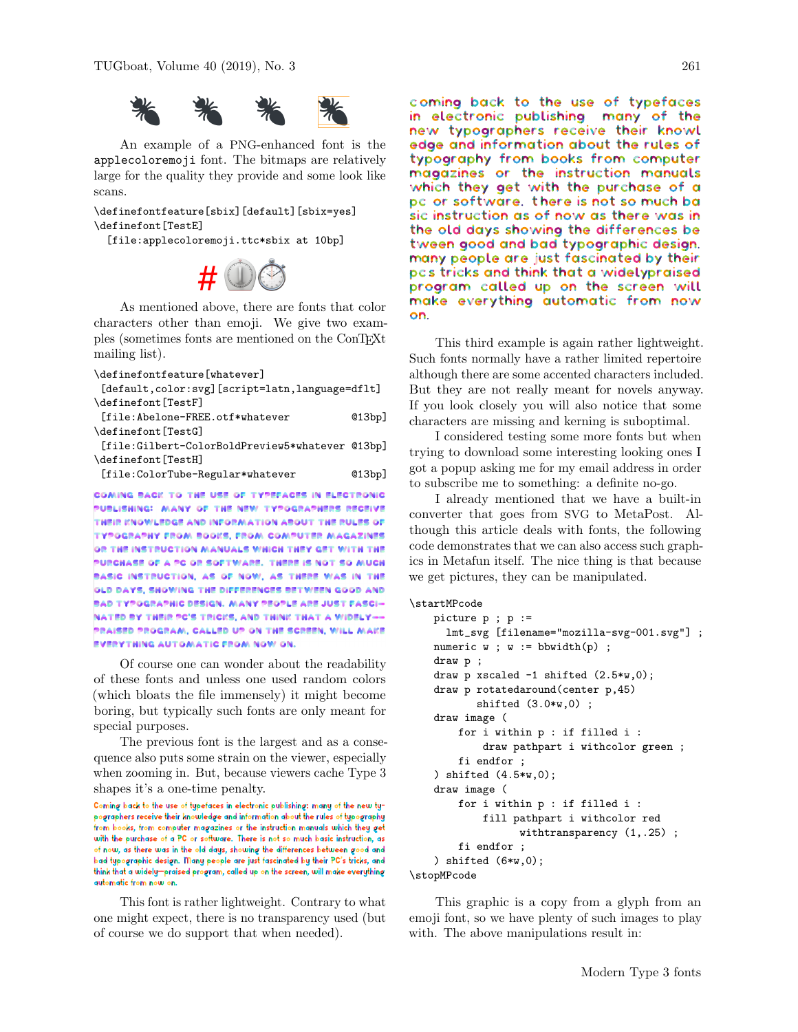

An example of a PNG-enhanced font is the applecoloremoji font. The bitmaps are relatively large for the quality they provide and some look like scans.

\definefontfeature[sbix][default][sbix=yes] \definefont[TestE]

[file:applecoloremoji.ttc\*sbix at 10bp]



As mentioned above, there are fonts that color characters other than emoji. We give two examples (sometimes fonts are mentioned on the ConTEXt mailing list).

| \definefontfeature[whatever]                       |       |
|----------------------------------------------------|-------|
| [default, color: svg] [script=latn, language=dflt] |       |
| \definefont[TestF]                                 |       |
| [file:Abelone-FREE.otf*whatever                    | Q13bp |
| \definefont[TestG]                                 |       |
| [file:Gilbert-ColorBoldPreview5*whatever @13bp]    |       |
| \definefont[TestH]                                 |       |
| [file:ColorTube-Regular*whatever                   | Q13bp |
|                                                    |       |
|                                                    |       |

PUBLISHING: MANY OF THE NEW TYPOGRAPHERS RECEIVE THEIR KNOWLEDGE AND INFORMATION ABOUT THE RULES OF **TYPOGRAPHY FROM BOOKS, FROM COMPUTER MAGAZINES** OR THE INSTRUCTION MANUALS WHICH THEY GET WITH THE PURCHASE OF A PC OR SOFTWARE. THERE IS NOT SO MUCH BASIC INSTRUCTION, AS OF NOW, AS THERE WAS IN THE OLD DAYS, SHOWING THE DIFFERENCES BETWEEN GOOD AND BAD TYPOGRAPHIC DESIGN. MANY PEOPLE ARE JUST FASCI-NATED BY THEIR PC'S TRICKS, AND THINK THAT A WIDELY--PRAISED PROGRAM, CALLED UP ON THE SCREEN, WILL MAKE EVERYTHING AUTOMATIC FROM NOW ON.

Of course one can wonder about the readability of these fonts and unless one used random colors (which bloats the file immensely) it might become boring, but typically such fonts are only meant for special purposes.

The previous font is the largest and as a consequence also puts some strain on the viewer, especially when zooming in. But, because viewers cache Type 3 shapes it's a one-time penalty.

Coming back to the use of typefaces in electronic publishing: many of the new typographers receive their knowledge and information about the rules of typography from books, from computer magazines or the instruction manuals which they get with the purchase of a PC or software. There is not so much basic instruction, as of now, as there was in the old days, showing the differences between good and bad typographic design. Many people are just fascinated by their PC's tricks, and think that a widely-praised program, called up on the screen, will make everything automatic from now on.

This font is rather lightweight. Contrary to what one might expect, there is no transparency used (but of course we do support that when needed).

Coming back to the use of typefaces in electronic publishing many of the new typographers receive their knowl edge and information about the rules of typography from books from computer magazines or the instruction manuals which they get with the purchase of a pc or software. there is not so much ba sic instruction as of now as there was in the old days showing the differences be tween good and bad typographic design. many people are just fascinated by their pcs tricks and think that a widelypraised program called up on the screen will make everything automatic from now on.

This third example is again rather lightweight. Such fonts normally have a rather limited repertoire although there are some accented characters included. But they are not really meant for novels anyway. If you look closely you will also notice that some characters are missing and kerning is suboptimal.

I considered testing some more fonts but when trying to download some interesting looking ones I got a popup asking me for my email address in order to subscribe me to something: a definite no-go.

I already mentioned that we have a built-in converter that goes from SVG to MetaPost. Although this article deals with fonts, the following code demonstrates that we can also access such graphics in Metafun itself. The nice thing is that because we get pictures, they can be manipulated.

```
\startMPcode
```

```
picture p ; p :=
     lmt_svg [filename="mozilla-svg-001.svg"] ;
   numeric w; w := bbwidth(p);
   draw p ;
   draw p xscaled -1 shifted (2.5*w,0);
   draw p rotatedaround(center p,45)
           shifted (3.0*w,0) ;
   draw image (
        for i within p : if filled i :
            draw pathpart i withcolor green ;
        fi endfor ;
   ) shifted (4.5*w,0);
   draw image (
        for i within p : if filled i :
            fill pathpart i withcolor red
                  withtransparency (1,.25) ;
        fi endfor ;
   ) shifted (6 \times w, 0);
\stopMPcode
```
This graphic is a copy from a glyph from an emoji font, so we have plenty of such images to play with. The above manipulations result in: